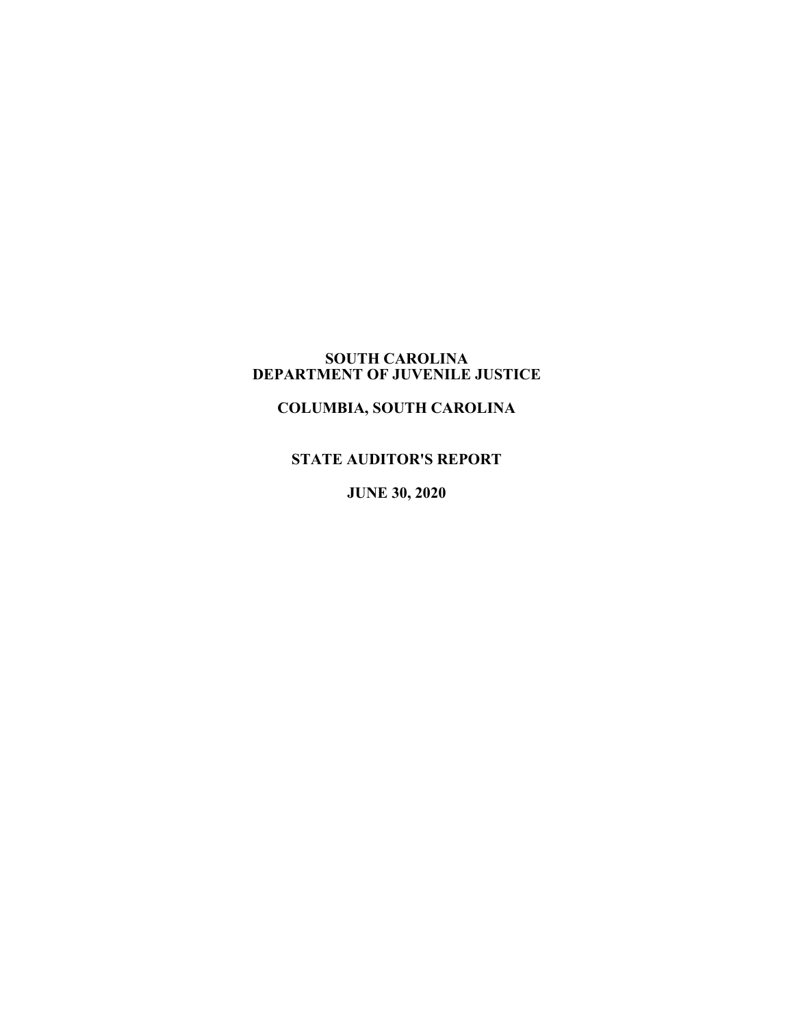#### **SOUTH CAROLINA DEPARTMENT OF JUVENILE JUSTICE**

# **COLUMBIA, SOUTH CAROLINA**

# **STATE AUDITOR'S REPORT**

**JUNE 30, 2020**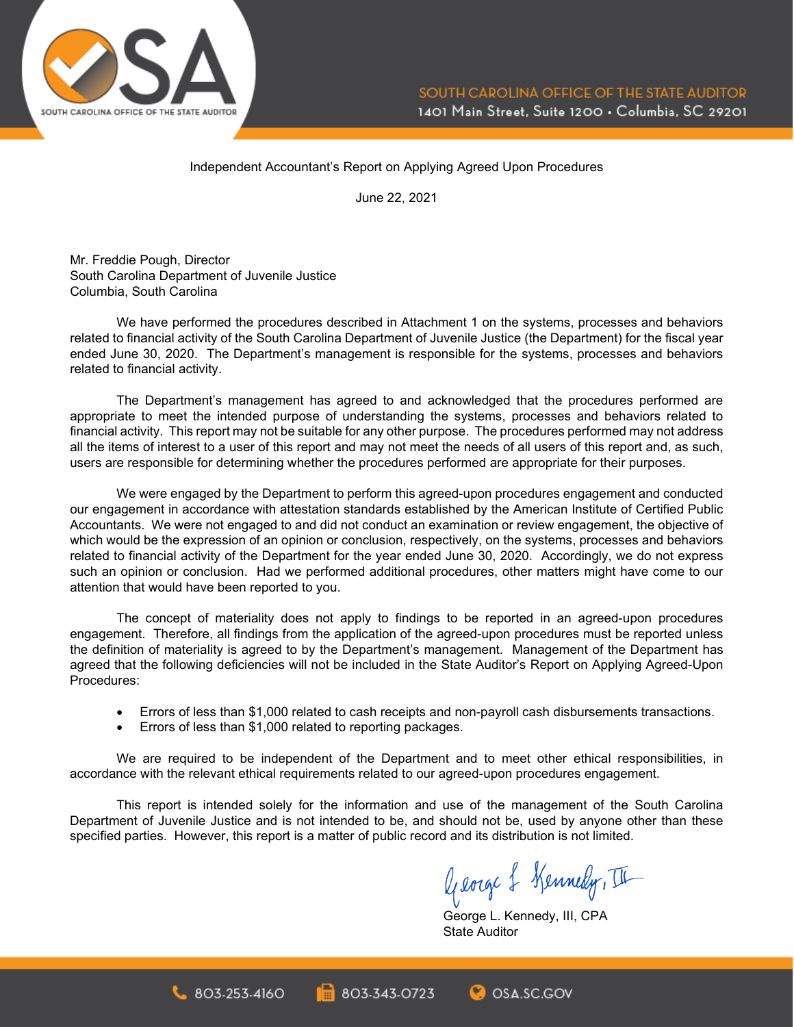

#### Independent Accountant's Report on Applying Agreed Upon Procedures

June 22, 2021

Mr. Freddie Pough, Director South Carolina Department of Juvenile Justice Columbia, South Carolina

We have performed the procedures described in Attachment 1 on the systems, processes and behaviors related to financial activity of the South Carolina Department of Juvenile Justice (the Department) for the fiscal year ended June 30, 2020. The Department's management is responsible for the systems, processes and behaviors related to financial activity.

The Department's management has agreed to and acknowledged that the procedures performed are appropriate to meet the intended purpose of understanding the systems, processes and behaviors related to financial activity. This report may not be suitable for any other purpose. The procedures performed may not address all the items of interest to a user of this report and may not meet the needs of all users of this report and, as such, users are responsible for determining whether the procedures performed are appropriate for their purposes.

We were engaged by the Department to perform this agreed-upon procedures engagement and conducted our engagement in accordance with attestation standards established by the American Institute of Certified Public Accountants. We were not engaged to and did not conduct an examination or review engagement, the objective of which would be the expression of an opinion or conclusion, respectively, on the systems, processes and behaviors related to financial activity of the Department for the year ended June 30, 2020. Accordingly, we do not express such an opinion or conclusion. Had we performed additional procedures, other matters might have come to our attention that would have been reported to you.

The concept of materiality does not apply to findings to be reported in an agreed-upon procedures engagement. Therefore, all findings from the application of the agreed-upon procedures must be reported unless the definition of materiality is agreed to by the Department's management. Management of the Department has agreed that the following deficiencies will not be included in the State Auditor's Report on Applying Agreed-Upon Procedures:

- Errors of less than \$1,000 related to cash receipts and non-payroll cash disbursements transactions.
- Errors of less than \$1,000 related to reporting packages.

 $803.253.4160$ 

We are required to be independent of the Department and to meet other ethical responsibilities, in accordance with the relevant ethical requirements related to our agreed-upon procedures engagement.

This report is intended solely for the information and use of the management of the South Carolina Department of Juvenile Justice and is not intended to be, and should not be, used by anyone other than these specified parties. However, this report is a matter of public record and its distribution is not limited.

803-343-0723

George & Kennedy, III

George L. Kennedy, III, CPA State Auditor

**C**OSA.SC.GOV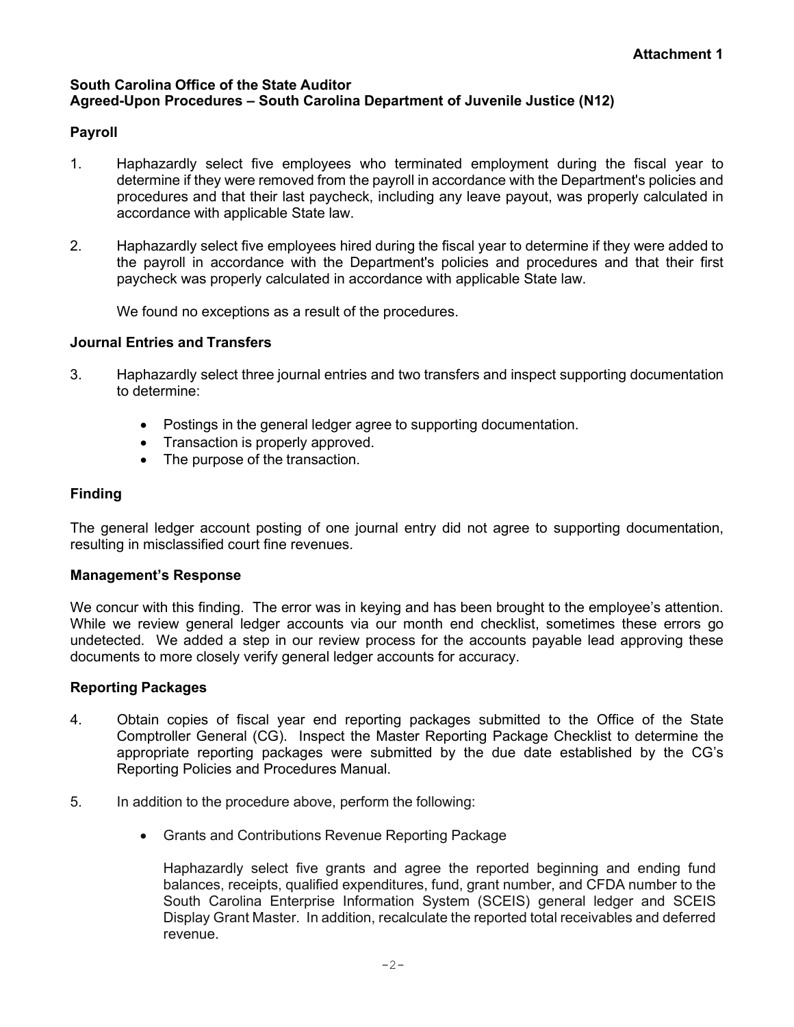#### **South Carolina Office of the State Auditor Agreed-Upon Procedures – South Carolina Department of Juvenile Justice (N12)**

## **Payroll**

- 1. Haphazardly select five employees who terminated employment during the fiscal year to determine if they were removed from the payroll in accordance with the Department's policies and procedures and that their last paycheck, including any leave payout, was properly calculated in accordance with applicable State law.
- 2. Haphazardly select five employees hired during the fiscal year to determine if they were added to the payroll in accordance with the Department's policies and procedures and that their first paycheck was properly calculated in accordance with applicable State law.

We found no exceptions as a result of the procedures.

### **Journal Entries and Transfers**

- 3. Haphazardly select three journal entries and two transfers and inspect supporting documentation to determine:
	- Postings in the general ledger agree to supporting documentation.
	- Transaction is properly approved.
	- The purpose of the transaction.

## **Finding**

The general ledger account posting of one journal entry did not agree to supporting documentation, resulting in misclassified court fine revenues.

### **Management's Response**

We concur with this finding. The error was in keying and has been brought to the employee's attention. While we review general ledger accounts via our month end checklist, sometimes these errors go undetected. We added a step in our review process for the accounts payable lead approving these documents to more closely verify general ledger accounts for accuracy.

### **Reporting Packages**

- 4. Obtain copies of fiscal year end reporting packages submitted to the Office of the State Comptroller General (CG). Inspect the Master Reporting Package Checklist to determine the appropriate reporting packages were submitted by the due date established by the CG's Reporting Policies and Procedures Manual.
- 5. In addition to the procedure above, perform the following:
	- Grants and Contributions Revenue Reporting Package

Haphazardly select five grants and agree the reported beginning and ending fund balances, receipts, qualified expenditures, fund, grant number, and CFDA number to the South Carolina Enterprise Information System (SCEIS) general ledger and SCEIS Display Grant Master. In addition, recalculate the reported total receivables and deferred revenue.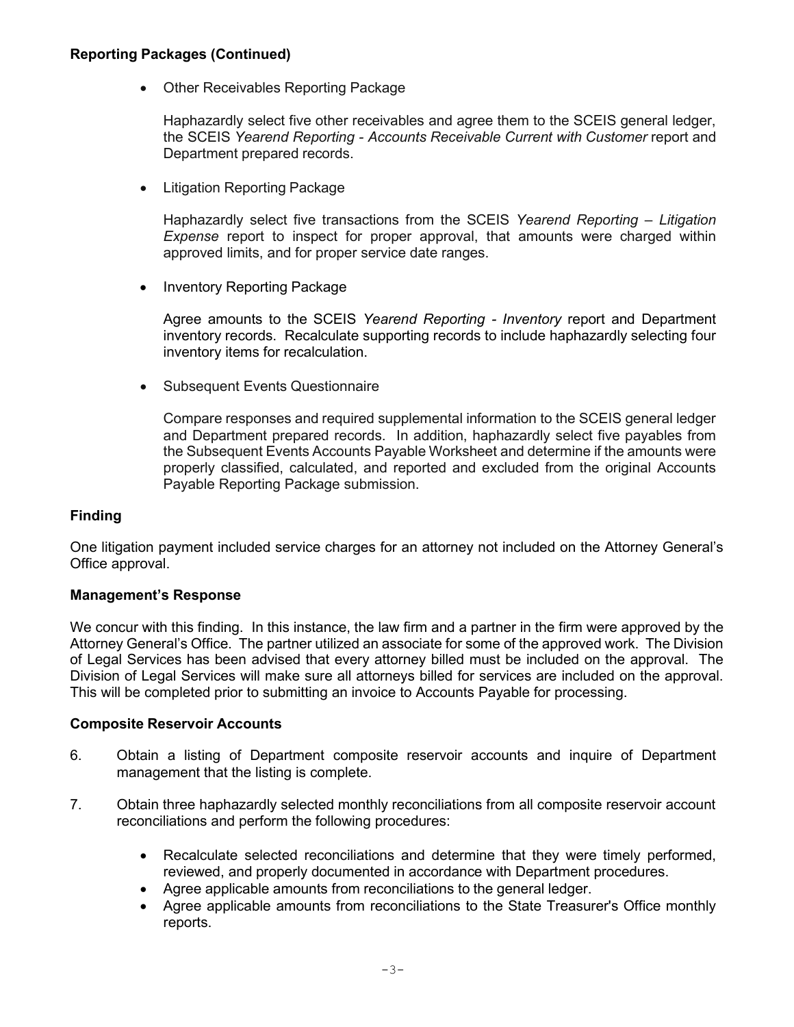#### **Reporting Packages (Continued)**

• Other Receivables Reporting Package

Haphazardly select five other receivables and agree them to the SCEIS general ledger, the SCEIS *Yearend Reporting - Accounts Receivable Current with Customer* report and Department prepared records.

• Litigation Reporting Package

Haphazardly select five transactions from the SCEIS *Yearend Reporting – Litigation Expense* report to inspect for proper approval, that amounts were charged within approved limits, and for proper service date ranges.

• Inventory Reporting Package

Agree amounts to the SCEIS *Yearend Reporting - Inventory* report and Department inventory records. Recalculate supporting records to include haphazardly selecting four inventory items for recalculation.

• Subsequent Events Questionnaire

Compare responses and required supplemental information to the SCEIS general ledger and Department prepared records. In addition, haphazardly select five payables from the Subsequent Events Accounts Payable Worksheet and determine if the amounts were properly classified, calculated, and reported and excluded from the original Accounts Payable Reporting Package submission.

#### **Finding**

One litigation payment included service charges for an attorney not included on the Attorney General's Office approval.

#### **Management's Response**

We concur with this finding. In this instance, the law firm and a partner in the firm were approved by the Attorney General's Office. The partner utilized an associate for some of the approved work. The Division of Legal Services has been advised that every attorney billed must be included on the approval. The Division of Legal Services will make sure all attorneys billed for services are included on the approval. This will be completed prior to submitting an invoice to Accounts Payable for processing.

#### **Composite Reservoir Accounts**

- 6. Obtain a listing of Department composite reservoir accounts and inquire of Department management that the listing is complete.
- 7. Obtain three haphazardly selected monthly reconciliations from all composite reservoir account reconciliations and perform the following procedures:
	- Recalculate selected reconciliations and determine that they were timely performed, reviewed, and properly documented in accordance with Department procedures.
	- Agree applicable amounts from reconciliations to the general ledger.
	- Agree applicable amounts from reconciliations to the State Treasurer's Office monthly reports.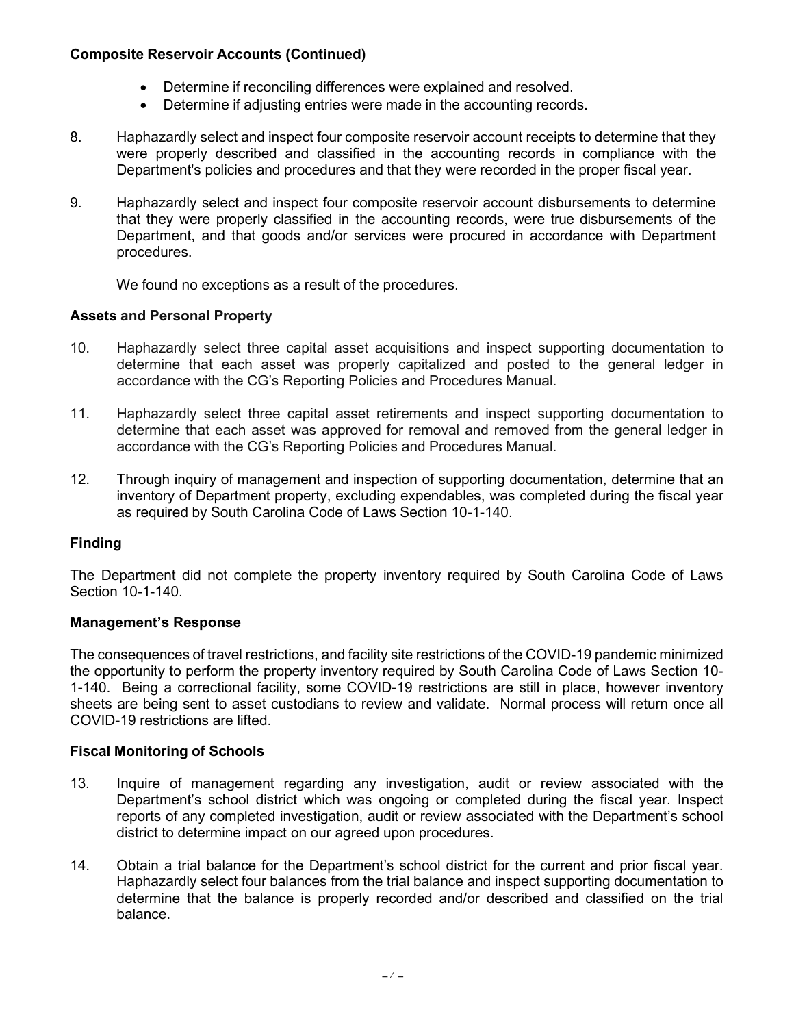### **Composite Reservoir Accounts (Continued)**

- Determine if reconciling differences were explained and resolved.
- Determine if adjusting entries were made in the accounting records.
- 8. Haphazardly select and inspect four composite reservoir account receipts to determine that they were properly described and classified in the accounting records in compliance with the Department's policies and procedures and that they were recorded in the proper fiscal year.
- 9. Haphazardly select and inspect four composite reservoir account disbursements to determine that they were properly classified in the accounting records, were true disbursements of the Department, and that goods and/or services were procured in accordance with Department procedures.

We found no exceptions as a result of the procedures.

### **Assets and Personal Property**

- 10. Haphazardly select three capital asset acquisitions and inspect supporting documentation to determine that each asset was properly capitalized and posted to the general ledger in accordance with the CG's Reporting Policies and Procedures Manual.
- 11. Haphazardly select three capital asset retirements and inspect supporting documentation to determine that each asset was approved for removal and removed from the general ledger in accordance with the CG's Reporting Policies and Procedures Manual.
- 12. Through inquiry of management and inspection of supporting documentation, determine that an inventory of Department property, excluding expendables, was completed during the fiscal year as required by South Carolina Code of Laws Section 10-1-140.

### **Finding**

The Department did not complete the property inventory required by South Carolina Code of Laws Section 10-1-140.

#### **Management's Response**

The consequences of travel restrictions, and facility site restrictions of the COVID-19 pandemic minimized the opportunity to perform the property inventory required by South Carolina Code of Laws Section 10- 1-140. Being a correctional facility, some COVID-19 restrictions are still in place, however inventory sheets are being sent to asset custodians to review and validate. Normal process will return once all COVID-19 restrictions are lifted.

#### **Fiscal Monitoring of Schools**

- 13. Inquire of management regarding any investigation, audit or review associated with the Department's school district which was ongoing or completed during the fiscal year. Inspect reports of any completed investigation, audit or review associated with the Department's school district to determine impact on our agreed upon procedures.
- 14. Obtain a trial balance for the Department's school district for the current and prior fiscal year. Haphazardly select four balances from the trial balance and inspect supporting documentation to determine that the balance is properly recorded and/or described and classified on the trial balance.